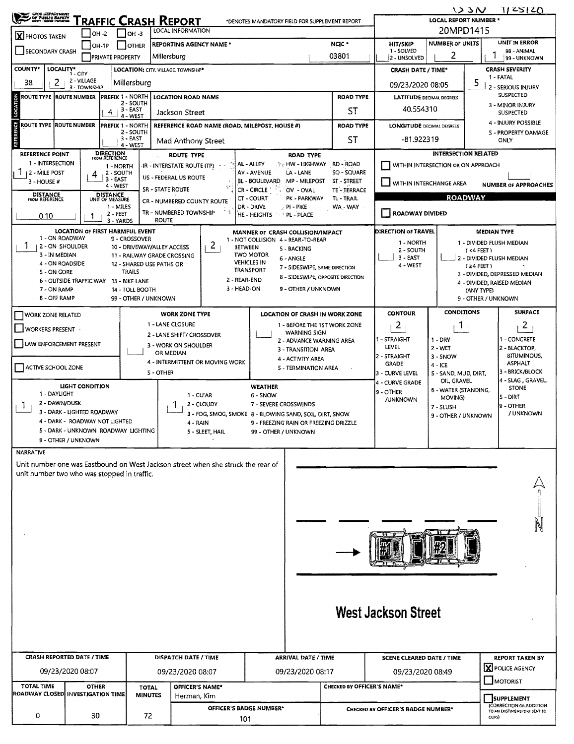| ONG USPARTNENT<br><u>"RAFFIC CRASH REPORT</u><br>*DENOTES MANDATORY FIELD FOR SUPPLEMENT REPORT                                                             |                                                            |                                                           |                       |                                                                                  |                                                                        |                                                     |                                       | 123N<br>11 ZSI ZO<br><b>LOCAL REPORT NUMBER *</b>               |                                                     |                                           |                                                          |  |  |  |
|-------------------------------------------------------------------------------------------------------------------------------------------------------------|------------------------------------------------------------|-----------------------------------------------------------|-----------------------|----------------------------------------------------------------------------------|------------------------------------------------------------------------|-----------------------------------------------------|---------------------------------------|-----------------------------------------------------------------|-----------------------------------------------------|-------------------------------------------|----------------------------------------------------------|--|--|--|
|                                                                                                                                                             | <b>LOCAL INFORMATION</b><br>$ OH -2 $<br>$ OH - 3$         |                                                           |                       |                                                                                  |                                                                        |                                                     |                                       |                                                                 |                                                     | 20MPD1415                                 |                                                          |  |  |  |
| X PHOTOS TAKEN                                                                                                                                              | $ OH-1P $                                                  | OTHER                                                     |                       | <b>REPORTING AGENCY NAME *</b>                                                   |                                                                        |                                                     | NCIC <sup>*</sup>                     | <b>HIT/SKIP</b>                                                 | <b>NUMBER OF UNITS</b>                              | <b>UNIT IN ERROR</b>                      |                                                          |  |  |  |
| <b>SECONDARY CRASH</b>                                                                                                                                      |                                                            | <b>PRIVATE PROPERTY</b>                                   | Millersburg           |                                                                                  |                                                                        | 03801                                               |                                       |                                                                 | 2                                                   |                                           | 98 - ANIMAL<br>99 - UNKNOWN                              |  |  |  |
| <b>COUNTY*</b>                                                                                                                                              | LOCALITY* CITY                                             | LOCATION: CITY, VILLAGE, TOWNSHIP*                        |                       |                                                                                  |                                                                        |                                                     |                                       | 2 - UNSOLVED<br><b>CRASH DATE / TIME*</b>                       | <b>CRASH SEVERITY</b>                               |                                           |                                                          |  |  |  |
| 2<br>38                                                                                                                                                     | 2 - VILLAGE<br>3 - TOWNSHIP                                | Millersburg                                               |                       |                                                                                  |                                                                        |                                                     |                                       | 1 - FATAL<br>5<br>09/23/2020 08:05<br><b>2 - SERIOUS INJURY</b> |                                                     |                                           |                                                          |  |  |  |
| <b>PREFIX 1 - NORTH</b><br><b>ROAD TYPE</b><br>ROUTE TYPE ROUTE NUMBER<br><b>LOCATION ROAD NAME</b>                                                         |                                                            |                                                           |                       |                                                                                  |                                                                        |                                                     |                                       |                                                                 | <b>SUSPECTED</b><br><b>LATITUDE DECIMAL DEGREES</b> |                                           |                                                          |  |  |  |
| LOCATION<br>2 - SOUTH<br>3 - EAST<br>4<br>Jackson Street                                                                                                    |                                                            |                                                           |                       |                                                                                  |                                                                        |                                                     | ST                                    | 40.554310                                                       | 3 - MINOR INJURY<br><b>SUSPECTED</b>                |                                           |                                                          |  |  |  |
| <b>ROUTE TYPE ROUTE NUMBER</b>                                                                                                                              |                                                            | 4 - WEST<br><b>PREFIX 1 - NORTH</b>                       |                       | REFERENCE ROAD NAME (ROAD, MILEPOST, HOUSE #)                                    |                                                                        |                                                     | <b>ROAD TYPE</b>                      | <b>LONGITUDE DECIMAL DEGREES</b>                                | 4 - INJURY POSSIBLE                                 |                                           |                                                          |  |  |  |
| <b>REFERENCE</b><br>2 - SOUTH<br>$3 - EAST$                                                                                                                 |                                                            |                                                           |                       |                                                                                  |                                                                        |                                                     |                                       |                                                                 |                                                     |                                           | 5 - PROPERTY DAMAGE                                      |  |  |  |
|                                                                                                                                                             | Mad Anthony Street<br>4 - WEST                             |                                                           |                       |                                                                                  |                                                                        |                                                     | <b>ST</b>                             | -81.922319<br>ONLY                                              |                                                     |                                           |                                                          |  |  |  |
| <b>DIRECTION</b><br>FROM REFERENCE<br><b>REFERENCE POINT</b><br><b>ROUTE TYPE</b><br>1 - INTERSECTION                                                       |                                                            |                                                           |                       |                                                                                  |                                                                        | <b>ROAD TYPE</b><br><b>No. HW-HIGHWAY RD-ROAD</b>   |                                       |                                                                 | <b>INTERSECTION RELATED</b>                         |                                           |                                                          |  |  |  |
| 12 - MILE POST                                                                                                                                              | 4                                                          | 1 - NORTH<br>2 - SOUTH                                    | US - FEDERAL US ROUTE | IR - INTERSTATE ROUTE (TP)                                                       | AL - ALLEY<br>AV - AVENUE                                              | LA - LANE                                           | SQ - SQUARE                           | WITHIN INTERSECTION OR ON APPROACH                              |                                                     |                                           |                                                          |  |  |  |
| $3 - HOUSE #$                                                                                                                                               |                                                            | $3 - EAST$<br>4 - WEST                                    | SR - STATE ROUTE      |                                                                                  | <b>BL - BOULEVARD</b><br><b>CR-CIRCLE</b>                              | MP - MILEPOST<br>OV - OVAL                          | ST - STREET<br>TE - TERRACE           | WITHIN INTERCHANGE AREA                                         |                                                     |                                           | <b>NUMBER OF APPROACHES</b>                              |  |  |  |
| <b>DISTANCE</b><br>FROM REFERENCE<br><b>DISTANCE</b><br>CT-COURT<br>PK - PARKWAY<br>TL - TRAIL<br>UNIT OF MEASURE<br>CR - NUMBERED COUNTY ROUTE             |                                                            |                                                           |                       |                                                                                  |                                                                        |                                                     |                                       |                                                                 | <b>ROADWAY</b>                                      |                                           |                                                          |  |  |  |
| 1 - MILES<br>DR - DRIVE<br>PI - PIKE<br>WA - WAY<br>TR - NUMBERED TOWNSHIP<br><b>ROADWAY DIVIDED</b><br>2 - FEET<br>HE - HEIGHTS<br>PL - PLACE<br>0.10<br>1 |                                                            |                                                           |                       |                                                                                  |                                                                        |                                                     |                                       |                                                                 |                                                     |                                           |                                                          |  |  |  |
| <b>ROUTE</b><br>3 - YARDS                                                                                                                                   |                                                            |                                                           |                       |                                                                                  |                                                                        |                                                     |                                       |                                                                 |                                                     |                                           |                                                          |  |  |  |
| 1 - ON ROADWAY                                                                                                                                              | <b>LOCATION OF FIRST HARMFUL EVENT</b>                     | 9 - CROSSOVER                                             |                       |                                                                                  | MANNER OF CRASH COLLISION/IMPACT<br>1 - NOT COLLISION 4 - REAR-TO-REAR |                                                     |                                       | <b>DIRECTION OF TRAVEL</b><br>1 - NORTH                         |                                                     | <b>MEDIAN TYPE</b>                        | 1 - DIVIDED FLUSH MEDIAN                                 |  |  |  |
| 1<br>2 - ON SHOULDER<br>3 - IN MEDIAN                                                                                                                       |                                                            | 10 - DRIVEWAY/ALLEY ACCESS<br>11 - RAILWAY GRADE CROSSING |                       | 2 <sub>1</sub>                                                                   | <b>BETWEEN</b><br><b>IWO MOTOR</b>                                     | 5 - BACKING                                         |                                       | 2 - SOUTH                                                       |                                                     | (4FET)                                    |                                                          |  |  |  |
| 4 - ON ROADSIDE                                                                                                                                             |                                                            | 12 - SHARED USE PATHS OR                                  |                       |                                                                                  | <b>VEHICLES IN</b><br><b>TRANSPORT</b>                                 | 6 - ANGLE<br>7 - SIDESWIPE, SAME DIRECTION          |                                       | 3 - EAST<br>4 - WEST                                            |                                                     | J 2 - DIVIDED FLUSH MEDIAN<br>$(24$ FEET) |                                                          |  |  |  |
| <b>S-ON GORE</b>                                                                                                                                            | <b>6 - OUTSIDE TRAFFIC WAY</b>                             | TRAILS<br>13 - BIKE LANE                                  |                       | 2 - REAR-END                                                                     |                                                                        | 8 - SIDESWIPE, OPPOSITE DIRECTION                   |                                       |                                                                 |                                                     |                                           | 3 - DIVIDED, DEPRESSED MEDIAN                            |  |  |  |
| 3 - HEAD-ON<br>9 - OTHER / UNKNOWN<br>7 - ON RAMP<br>14 - TOLL BOOTH                                                                                        |                                                            |                                                           |                       |                                                                                  |                                                                        |                                                     |                                       |                                                                 |                                                     | (ANY TYPE)                                | 4 - DIVIDED, RAISED MEDIAN                               |  |  |  |
| 8 - OFF RAMP<br>99 - OTHER / UNKNOWN                                                                                                                        |                                                            |                                                           |                       |                                                                                  |                                                                        |                                                     |                                       |                                                                 |                                                     |                                           | 9 - OTHER / UNKNOWN                                      |  |  |  |
| WORK ZONE RELATED                                                                                                                                           |                                                            |                                                           |                       | <b>WORK ZONE TYPE</b>                                                            |                                                                        | LOCATION OF CRASH IN WORK ZONE                      |                                       | <b>CONTOUR</b>                                                  | <b>CONDITIONS</b>                                   | <b>SURFACE</b>                            |                                                          |  |  |  |
| <b>NORKERS PRESENT</b>                                                                                                                                      |                                                            |                                                           | 1 - LANE CLOSURE      | 2 - LANE SHIFT/ CROSSOVER                                                        |                                                                        | 1 - BEFORE THE 1ST WORK ZONE<br><b>WARNING SIGN</b> |                                       | $\overline{2}$                                                  | L.                                                  |                                           | 2                                                        |  |  |  |
| LAW ENFORCEMENT PRESENT                                                                                                                                     |                                                            |                                                           | 3 - WORK ON SHOULDER  |                                                                                  |                                                                        | 2 - ADVANCE WARNING AREA<br>3 - TRANSITION AREA     |                                       | 1 - STRAIGHT<br>LEVEL                                           | $1 - DRY$<br>2 WET                                  |                                           | <b>ACONCRETE</b><br>2 - BLACKTOP,                        |  |  |  |
|                                                                                                                                                             |                                                            |                                                           | OR MEDIAN             | 4 - INTERMITTENT OR MOVING WORK                                                  |                                                                        | 4 - ACTIVITY AREA                                   |                                       | 2 - STRAIGHT                                                    | 3 - SNOW                                            |                                           | <b>BITUMINOUS,</b><br><b>ASPHALT</b>                     |  |  |  |
| ACTIVE SCHOOL ZONE                                                                                                                                          |                                                            |                                                           | <b>5 - OTHER</b>      |                                                                                  |                                                                        | 5 - TERMINATION AREA                                |                                       | <b>GRADE</b><br>3 - CURVE LEVEL                                 | $4 - ICE$<br>S - SAND, MUD, DIRT,                   |                                           | 3 - BRICK/BLOCK                                          |  |  |  |
|                                                                                                                                                             | LIGHT CONDITION                                            |                                                           |                       |                                                                                  | <b>WEATHER</b>                                                         |                                                     |                                       | 4 - CURVE GRADE                                                 | OIL, GRAVEL<br>6 - WATER (STANDING,                 |                                           | 4 - SLAG, GRAVEL,<br><b>STONE</b>                        |  |  |  |
| 1 - DAYLIGHT<br>2 - DAWN/DUSK                                                                                                                               |                                                            |                                                           |                       | 1 - CLEAR<br>2 - CLOUDY                                                          | $6 - 5NOW$<br>7 - SEVERE CROSSWINDS                                    |                                                     |                                       | 9 - OTHER<br>/UNKNOWN                                           | MOVING)                                             |                                           | S-DIRT                                                   |  |  |  |
| Т.                                                                                                                                                          | 3 - DARK - LIGHTED ROADWAY                                 |                                                           |                       | 3 - FOG, SMOG, SMOKE 8 - BLOWING SAND, SOIL, DIRT, SNOW                          |                                                                        |                                                     |                                       |                                                                 | 7 - SLUSH<br>9 - OTHER / UNKNOWN                    |                                           | 9 - OTHER<br>/ UNKNOWN                                   |  |  |  |
|                                                                                                                                                             | 4 - DARK - ROADWAY NOT LIGHTED                             |                                                           |                       | 4 - RAIN                                                                         |                                                                        |                                                     | 9 - FREEZING RAIN OR FREEZING DRIZZLE |                                                                 |                                                     |                                           |                                                          |  |  |  |
|                                                                                                                                                             | 5 - DARK - UNKNOWN ROADWAY LIGHTING<br>9 - OTHER / UNKNOWN |                                                           |                       | 5 - SLEET, HAIL                                                                  | 99 - OTHER / UNKNOWN                                                   |                                                     |                                       |                                                                 |                                                     |                                           |                                                          |  |  |  |
| <b>NARRATIVE</b>                                                                                                                                            |                                                            |                                                           |                       |                                                                                  |                                                                        |                                                     |                                       |                                                                 |                                                     |                                           |                                                          |  |  |  |
|                                                                                                                                                             |                                                            |                                                           |                       | Unit number one was Eastbound on West Jackson street when she struck the rear of |                                                                        |                                                     |                                       |                                                                 |                                                     |                                           |                                                          |  |  |  |
| unit number two who was stopped in traffic.                                                                                                                 |                                                            |                                                           |                       |                                                                                  |                                                                        |                                                     |                                       |                                                                 |                                                     |                                           |                                                          |  |  |  |
|                                                                                                                                                             |                                                            |                                                           |                       |                                                                                  |                                                                        |                                                     |                                       |                                                                 |                                                     |                                           |                                                          |  |  |  |
|                                                                                                                                                             |                                                            |                                                           |                       |                                                                                  |                                                                        |                                                     |                                       |                                                                 |                                                     |                                           |                                                          |  |  |  |
|                                                                                                                                                             |                                                            |                                                           |                       |                                                                                  |                                                                        |                                                     |                                       |                                                                 |                                                     |                                           |                                                          |  |  |  |
|                                                                                                                                                             |                                                            |                                                           |                       |                                                                                  |                                                                        |                                                     |                                       |                                                                 |                                                     |                                           |                                                          |  |  |  |
|                                                                                                                                                             |                                                            |                                                           |                       |                                                                                  |                                                                        |                                                     |                                       |                                                                 |                                                     |                                           |                                                          |  |  |  |
|                                                                                                                                                             |                                                            |                                                           |                       |                                                                                  |                                                                        |                                                     |                                       |                                                                 |                                                     |                                           |                                                          |  |  |  |
|                                                                                                                                                             |                                                            |                                                           |                       |                                                                                  |                                                                        |                                                     |                                       |                                                                 |                                                     |                                           |                                                          |  |  |  |
|                                                                                                                                                             |                                                            |                                                           |                       |                                                                                  |                                                                        |                                                     |                                       |                                                                 |                                                     |                                           |                                                          |  |  |  |
|                                                                                                                                                             |                                                            |                                                           |                       |                                                                                  |                                                                        |                                                     |                                       |                                                                 |                                                     |                                           |                                                          |  |  |  |
|                                                                                                                                                             |                                                            |                                                           |                       |                                                                                  |                                                                        |                                                     |                                       | <b>West Jackson Street</b>                                      |                                                     |                                           |                                                          |  |  |  |
|                                                                                                                                                             |                                                            |                                                           |                       |                                                                                  |                                                                        |                                                     |                                       |                                                                 |                                                     |                                           |                                                          |  |  |  |
|                                                                                                                                                             |                                                            |                                                           |                       |                                                                                  |                                                                        |                                                     |                                       |                                                                 |                                                     |                                           |                                                          |  |  |  |
|                                                                                                                                                             | <b>CRASH REPORTED DATE / TIME</b>                          |                                                           |                       | DISPATCH DATE / TIME                                                             |                                                                        | <b>ARRIVAL DATE / TIME</b>                          |                                       | <b>SCENE CLEARED DATE / TIME</b>                                |                                                     |                                           | <b>REPORT TAKEN BY</b>                                   |  |  |  |
|                                                                                                                                                             | 09/23/2020 08:07                                           |                                                           |                       | 09/23/2020 08:07                                                                 |                                                                        | 09/23/2020 08:17                                    |                                       | 09/23/2020 08:49                                                |                                                     |                                           | <b>X</b> POLICE AGENCY                                   |  |  |  |
| <b>TOTAL TIME</b>                                                                                                                                           | <b>OTHER</b>                                               |                                                           |                       | OFFICER'S NAME*                                                                  |                                                                        |                                                     | CHECKED BY OFFICER'S NAME*            |                                                                 |                                                     |                                           | MOTORIST                                                 |  |  |  |
| ROADWAY CLOSED INVESTIGATION TIME                                                                                                                           |                                                            | <b>TOTAL</b><br><b>MINUTES</b>                            |                       | Herman, Kim                                                                      |                                                                        |                                                     |                                       |                                                                 |                                                     |                                           | <b>SUPPLEMENT</b>                                        |  |  |  |
|                                                                                                                                                             |                                                            |                                                           |                       |                                                                                  | OFFICER'S BADGE NUMBER*                                                |                                                     |                                       | CHECKED BY OFFICER'S BADGE NUMBER*                              |                                                     |                                           | (CORRECTION OR ADDITION<br>TO AN EXISTING REPORT SENT TO |  |  |  |
| 0<br>30<br>72<br>101                                                                                                                                        |                                                            |                                                           |                       |                                                                                  |                                                                        | ODPS)                                               |                                       |                                                                 |                                                     |                                           |                                                          |  |  |  |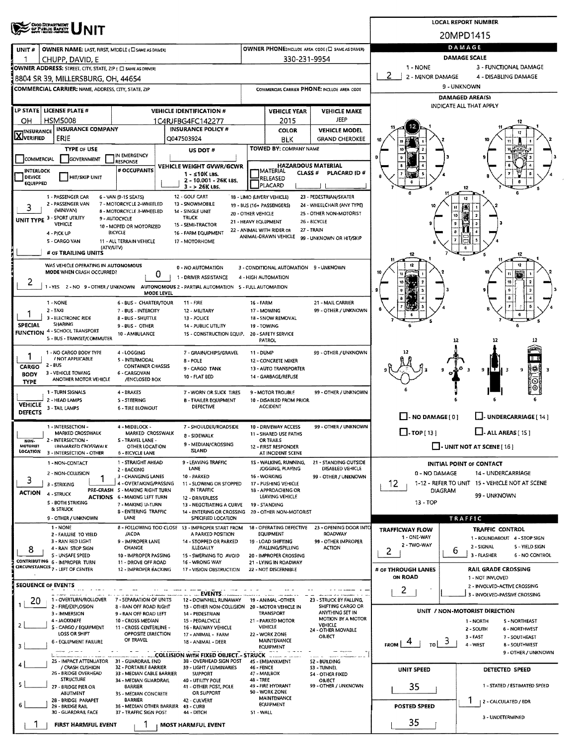| <b>OHIO DEPARTMENT</b><br>OF PUBLIC BAFETT                                                       | <b>LOCAL REPORT NUMBER</b>                                                                                           |                           |                                                   |                                                       |                               |                                                                           |  |  |  |
|--------------------------------------------------------------------------------------------------|----------------------------------------------------------------------------------------------------------------------|---------------------------|---------------------------------------------------|-------------------------------------------------------|-------------------------------|---------------------------------------------------------------------------|--|--|--|
|                                                                                                  |                                                                                                                      |                           |                                                   |                                                       |                               | 20MPD1415                                                                 |  |  |  |
| OWNER NAME: LAST, FIRST, MIDDLE (C) SAME AS DRIVER!<br>UNIT#                                     |                                                                                                                      |                           |                                                   | OWNER PHONE:INCLUDE AREA CODE (C) SAME AS DRIVER)     |                               | DAMAGE                                                                    |  |  |  |
| CHUPP, DAVID, E<br>п                                                                             |                                                                                                                      |                           | 330-231-9954                                      |                                                       |                               | <b>DAMAGE SCALE</b>                                                       |  |  |  |
| OWNER ADDRESS: STREET, CITY, STATE, ZIP ( C) SAME AS DRIVER)                                     |                                                                                                                      |                           |                                                   |                                                       | 1 - NONE<br>2                 | 3 - FUNCTIONAL DAMAGE                                                     |  |  |  |
| 8804 SR 39, MILLERSBURG, OH, 44654                                                               |                                                                                                                      |                           |                                                   |                                                       | 2 - MINOR DAMAGE              | 4 - DISABLING DAMAGE<br>9 - UNKNOWN                                       |  |  |  |
| COMMERCIAL CARRIER: NAME, ADDRESS, CITY, STATE, ZIP                                              |                                                                                                                      |                           |                                                   | COMMERCIAL CARRIER PHONE: INCLUDE AREA CODE           |                               | <b>DAMAGED AREA(S)</b>                                                    |  |  |  |
| LP STATE   LICENSE PLATE #                                                                       |                                                                                                                      |                           |                                                   |                                                       | INDICATE ALL THAT APPLY       |                                                                           |  |  |  |
| <b>HSM5008</b><br>OН                                                                             | <b>VEHICLE IDENTIFICATION #</b><br>1C4RJFBG4FC142277                                                                 |                           | <b>VEHICLE YEAR</b><br>2015                       | <b>VEHICLE MAKE</b><br>JEEP                           |                               |                                                                           |  |  |  |
| <b>INSURANCE COMPANY</b><br><b>INSURANCE</b>                                                     | <b>INSURANCE POLICY #</b>                                                                                            |                           | <b>COLOR</b>                                      | <b>VEHICLE MODEL</b>                                  |                               |                                                                           |  |  |  |
| XVERIFIED<br>ERIE                                                                                | Q047503924                                                                                                           |                           | BLK                                               | <b>GRAND CHEROKEE</b>                                 |                               |                                                                           |  |  |  |
| <b>TYPE OF USE</b><br>IN EMERGENCY                                                               | US DOT #                                                                                                             |                           | TOWED BY: COMPANY NAME                            |                                                       | n                             |                                                                           |  |  |  |
| COMMERCIAL<br>GOVERNMENT<br>RESPONSE                                                             | VEHICLE WEIGHT GVWR/GCWR                                                                                             |                           | HAZARDOUS MATERIAL                                |                                                       |                               |                                                                           |  |  |  |
| # OCCUPANTS<br><b>INTERLOCK</b><br><b>HIT/SKIP UNIT</b><br><b>DEVICE</b>                         | $1 - 510K$ LBS.<br>2 - 10.001 - 26K LBS.                                                                             |                           | MATERIAL<br>CLASS <sup>#</sup><br>RELEASED        | PLACARD ID#                                           |                               |                                                                           |  |  |  |
| EQUIPPED                                                                                         | 3 - > 26K LBS.                                                                                                       |                           | PLACARD                                           |                                                       |                               | 12                                                                        |  |  |  |
| 1 - PASSENGER CAR<br>6 - VAN (9-15 SEATS)<br>2 - PASSENGER VAN<br>7 - MOTORCYCLE 2-WHEELED       | 12 - GOLF CART<br>13 - SNOWMOBILE                                                                                    |                           | 18 - LIMO (LIVERY VEHICLE)                        | 23 - PEDESTRIAN/SKATER                                |                               | 12                                                                        |  |  |  |
| 3<br>(MINIVAN)<br><b>B - MOTORCYCLE 3-WHEELED</b>                                                | 14 - SINGLE UNIT                                                                                                     | 20 - OTHER VEHICLE        | 19 - BUS (16+ PASSENGERS)                         | 24 - WHEELCHAIR (ANY TYPE)<br>25 - OTHER NON-MOTORIST |                               | 10                                                                        |  |  |  |
| UNIT TYPE 3 - SPORT UTILITY<br>9 - AUTOCYCLE<br>VEHICLE<br>10 - MOPED OR MOTORIZED               | <b>TRUCK</b><br>15 - SEMI-TRACTOR                                                                                    | 21 - HEAVY EQUIPMENT      |                                                   | 26 - BICYCLE                                          |                               | $\mathbf{a}$                                                              |  |  |  |
| <b>BICYCLE</b><br>4 - PICK UP                                                                    | 16 - FARM EQUIPMENT                                                                                                  |                           | 22 - ANIMAL WITH RIDER OR<br>ANIMAL-DRAWN VEHICLE | 27 - TRAIN<br>99 - UNKNOWN OR HIT/SKIP                |                               |                                                                           |  |  |  |
| 5 - CARGO VAN<br>11 - ALL TERRAIN VEHICLE<br>(ATV/UTV)                                           | 17 - MOTORHOME                                                                                                       |                           |                                                   |                                                       |                               |                                                                           |  |  |  |
| # OF TRAILING UNITS                                                                              |                                                                                                                      |                           |                                                   |                                                       | 12                            | 12<br>5                                                                   |  |  |  |
| WAS VEHICLE OPERATING IN AUTONOMOUS<br><b>MODE WHEN CRASH OCCURRED?</b>                          | 0 - NO AUTOMATION<br>0                                                                                               |                           | 3 - CONDITIONAL AUTOMATION 9 - UNKNOWN            |                                                       |                               | 12                                                                        |  |  |  |
| 2                                                                                                | 1 - DRIVER ASSISTANCE                                                                                                |                           | 4 - HIGH AUTOMATION                               |                                                       |                               |                                                                           |  |  |  |
| 1 - YES 2 - NO 9 - OTHER / UNKNOWN                                                               | AUTONOMOUS 2 - PARTIAL AUTOMATION 5 - FULL AUTOMATION<br>MODE LEVEL                                                  |                           |                                                   |                                                       |                               |                                                                           |  |  |  |
| 1 - NONE                                                                                         | $11 - F RE$<br>6 - BUS - CHARTER/TOUR                                                                                | <b>16 - FARM</b>          |                                                   | 21 - MAIL CARRIER                                     |                               |                                                                           |  |  |  |
| 2 - TAXI<br>3 - ELECTRONIC RIDE<br>8 - BUS - SHUTTLE                                             | 7 - BUS - INTERCITY<br>12 - MILITARY<br>13 - POLICE                                                                  |                           | 17 - MOWING<br>18 - SNOW REMOVAL                  | 99 - OTHER / UNKNOWN                                  |                               |                                                                           |  |  |  |
| <b>SHARING</b><br><b>SPECIAL</b><br>9 - BUS - OTHER<br>4 - SCHOOL TRANSPORT                      | <b>14 - PUBLIC UTILITY</b>                                                                                           | 19 - TOWING               |                                                   |                                                       |                               |                                                                           |  |  |  |
| <b>FUNCTION</b><br>10 - AMBULANCE<br>5 - BUS - TRANSIT/COMMUTER                                  | 15 - CONSTRUCTION EQUIP.                                                                                             |                           | 20 - SAFETY SERVICE<br><b>PATROL</b>              |                                                       |                               | 12<br>12                                                                  |  |  |  |
| 1 - NO CARGO BODY TYPE<br>4 - LOGGING                                                            | 7 - GRAIN/CHIPS/GRAVEL                                                                                               | 11 - DUMP                 |                                                   | 99 - OTHER / UNKNOWN                                  |                               |                                                                           |  |  |  |
| / NOT APPLICABLE<br>5 - INTERMODAL<br>$2 - BUS$<br>CARGO                                         | 8 - POLE<br><b>CONTAINER CHASSIS</b>                                                                                 |                           | 12 - CONCRETE MIXER                               |                                                       |                               |                                                                           |  |  |  |
| 3 - VEHICLE TOWING<br>6 - CARGOVAN<br><b>BODY</b>                                                | 9 - CARGO TANK<br>10 - FLAT BED                                                                                      |                           | 13 - AUTO TRANSPORTER<br>14 - GARBAGE/REFUSE      |                                                       |                               | 特美<br>9<br>-3                                                             |  |  |  |
| ANOTHER MOTOR VEHICLE<br><b>TYPE</b>                                                             | /ENCLOSED BOX                                                                                                        |                           |                                                   |                                                       |                               |                                                                           |  |  |  |
| 1 - TURN SIGNALS<br>4 - BRAKES<br>2 - HEAD LAMPS<br><b>S-STEERING</b>                            | 7 - WORN OR SLICK TIRES<br><b>B - TRAILER EQUIPMENT</b>                                                              |                           | 9 - MOTOR TROUBLE<br>10 - DISABLED FROM PRIOR     | 99 - OTHER / UNKNOWN                                  |                               |                                                                           |  |  |  |
| <b>VEHICLE</b><br>3 - TAIL LAMPS<br>6 - TIRE BLOWOUT<br><b>DEFECTS</b>                           | DEFECTIVE                                                                                                            |                           | <b>ACCIDENT</b>                                   |                                                       |                               |                                                                           |  |  |  |
|                                                                                                  |                                                                                                                      |                           |                                                   |                                                       | $\Box$ - NO DAMAGE [ 0 ]      | L.J. UNDERCARRIAGE [ 14 ]                                                 |  |  |  |
| 1 - INTERSECTION -<br>4 - MIDBLOCK -<br>MARKED CROSSWALK                                         | 7 - SHOULDER/ROADSIDE<br>MARKED CROSSWALK<br>8 - SIDEWALK                                                            |                           | 10 - DRIVEWAY ACCESS<br>11 - SHARED USE PATHS     | 99 - OTHER / UNKNOWN                                  | $\Box$ -TOP[13]               | $L$ -ALL AREAS [15]                                                       |  |  |  |
| 2 - INTERSECTION -<br>S - TRAVEL LANE -<br>NON-<br><b>MOTORIST</b><br><b>LINMARKED CROSSWALK</b> | 9 - MEDIAN/CROSSING<br>OTHER LOCATION                                                                                |                           | OR TRAILS<br>12 - FIRST RESPONDER                 |                                                       |                               | $\Box$ - UNIT NOT AT SCENE [16]                                           |  |  |  |
| LOCATION<br>3 - INTERSECTION - OTHER<br>6 - BICYCLE LANE                                         | ISLAND                                                                                                               |                           | AT INCIDENT SCENE                                 |                                                       |                               |                                                                           |  |  |  |
| 1 - NON-CONTACT<br>2 - BACKING                                                                   | 1 - STRAIGHT AHEAD<br>9 - LEAVING TRAFFIC<br>LANE                                                                    |                           | 15 - WALKING, RUNNING,<br>JOGGING, PLAYING        | 21 - STANDING OUTSIDE<br>DISABLED VEHICLE             |                               | <b>INITIAL POINT OF CONTACT</b>                                           |  |  |  |
| 2 - NON-COLLISION<br>1<br>3<br>3 - STRIKING                                                      | 3 - CHANGING LANES<br>10 - PARKED<br>4 - OVERTAKING/PASSING<br>11 - SLOWING OR STOPPED                               |                           | 16 - WORKING<br>17 - PUSHING VEHICLE              | 99 - OTHER / UNKNOWN                                  | 0 - NO DAMAGE<br>12.          | 14 - UNDERCARRIAGE<br>1-12 - REFER TO UNIT 15 - VEHICLE NOT AT SCENE      |  |  |  |
| PRE-CRASH 5 - MAKING RIGHT TURN<br><b>ACTION</b><br>4 - STRUCK                                   | IN TRAFFIC                                                                                                           |                           | 18 - APPROACHING OR<br>LEAVING VEHICLE            |                                                       | DIAGRAM                       | 99 - UNKNOWN                                                              |  |  |  |
| ACTIONS 6 - MAKING LEFT TURN<br>S - BOTH STRIKING<br>& STRUCK                                    | 12 - DRIVERLESS<br>7 - MAKING U-TURN<br>13 - NEGOTIATING A CURVE                                                     |                           | 19 - STANDING                                     |                                                       | 13 - TOP                      |                                                                           |  |  |  |
| 9 - OTHER / UNKNOWN<br>LANE                                                                      | <b>8 - ENTERING TRAFFIC</b><br>14 - ENTERING OR CROSSING<br>SPECIFIED LOCATION                                       |                           | 20 - OTHER NON-MOTORIST                           |                                                       |                               | TRAFFIC                                                                   |  |  |  |
| 1 - NONE                                                                                         | 8 - FOLLOWING TOO CLOSE 13 - IMPROPER START FROM                                                                     |                           | 18 - OPERATING DEFECTIVE                          | 23 - OPENING DOOR INTO                                | <b>TRAFFICWAY FLOW</b>        | TRAFFIC CONTROL                                                           |  |  |  |
| <b>2 - FAILURE TO YIELD</b><br>/ACDA<br>3 - RAN RED LIGHT                                        | A PARKED POSITION<br>9 - IMPROPER LANE<br>14 - STOPPED OR PARKED                                                     |                           | EQUIPMENT<br>19 - LOAD SHIFTING                   | <b>ROADWAY</b><br>99 - OTHER IMPROPER                 | 1 - ONE-WAY                   | 1 - ROUNDABOUT 4 - STOP SIGN                                              |  |  |  |
| <b>CHANGE</b><br>4 - RAN STOP SIGN<br>8<br><b>S - UNSAFE SPEED</b>                               | ILLEGALLY<br>10 - IMPROPER PASSING<br>15 - SWERVING TO AVOID                                                         |                           | /FALLING/SPILLING<br>20 - IMPROPER CROSSING       | <b>ACTION</b>                                         | 2 - TWO-WAY<br>2              | 2 - SIGNAL<br>5 - YIELD SIGN<br>6<br>3 - FLASHER<br><b>6 - NO CONTROL</b> |  |  |  |
| CONTRIBUTING 6 - IMPROPER TURN                                                                   | 11 - DROVE OFF ROAD<br>16 - WRONG WAY                                                                                |                           | 21 - LYING IN ROADWAY                             |                                                       |                               |                                                                           |  |  |  |
| CIRCUMSTANCES 7 LEFT OF CENTER                                                                   | 12 - IMPROPER BACKING<br>17 - VISION OBSTRUCTION                                                                     |                           | 22 - NOT DISCERNIBLE                              |                                                       | # OF THROUGH LANES<br>ON ROAD | <b>RAIL GRADE CROSSING</b><br>1 - NOT INVLOVED                            |  |  |  |
| <b>SEQUENCE OF EVENTS</b>                                                                        |                                                                                                                      |                           |                                                   |                                                       | 2                             | 2 - INVOLVED-ACTIVE CROSSING                                              |  |  |  |
| 1 - OVERTURN/ROLLOVER<br>20                                                                      | <b>LEVENTS</b><br>7 - SEPARATION OF UNITS<br>12 - DOWNHILL RUNAWAY                                                   |                           | 19 - ANIMAL -OTHER                                | 23 - STRUCK BY FALLING,                               |                               | 3 - INVOLVED-PASSIVE CROSSING                                             |  |  |  |
| 2 - FIRE/EXPLOSION<br>3 - IMMERSION                                                              | 8 - RAN OFF ROAD RIGHT<br>13 - OTHER NON-COLLISION 20 - MOTOR VEHICLE IN<br>9 - RAN OFF ROAD LEFT<br>14 - PEDESTRIAN |                           | <b>TRANSPORT</b>                                  | SHIFTING CARGO OR<br>ANYTHING SET IN                  |                               | UNIT / NON-MOTORIST DIRECTION                                             |  |  |  |
| 4 - JACKKNIFE<br>10 - CROSS MEDIAN<br>2                                                          | 15 - PEDALCYCLE                                                                                                      |                           | 21 - PARKED MOTOR                                 | MOTION BY A MOTOR<br><b>VEHICLE</b>                   |                               | 5 - NORTHEAST<br>1 - NORTH                                                |  |  |  |
| S - CARGO / EQUIPMENT<br>LOSS OR SHIFT                                                           | 11 - CROSS CENTERLINE -<br>16 - RAILWAY VEHICLE<br>OPPOSITE DIRECTION<br>17 - ANIMAL - FARM                          |                           | VEHICLE<br>22 - WORK ZONE                         | 24 - OTHER MOVABLE<br>OBJECT                          |                               | 2 - SOUTH<br>6 - NORTHWEST<br>3 - EAST<br>7 - SOUTHEAST                   |  |  |  |
| OF TRAVEL<br>6 - EQUIPMENT FAILURE<br>3                                                          | 18 - ANIMAL - DEER                                                                                                   |                           | <b>MAINTENANCE</b><br><b>EQUIPMENT</b>            |                                                       | з<br>FROM<br>TO               | 4-WEST<br><b>8 - SOUTHWEST</b>                                            |  |  |  |
|                                                                                                  | COLLISION WITH FIXED OBJECT - STRUCK                                                                                 |                           |                                                   | come indeposition                                     |                               | 9 - OTHER / UNKNOWN                                                       |  |  |  |
| 25 - IMPACT ATTENUATOR 31 - GUARDRAIL END<br>4<br>/ CRASH CUSHION                                | 38 - OVERHEAD SIGN POST<br>32 - PORTABLE BARRIER<br>39 - LIGHT / LUMINARIES                                          | 46 - FENCE                | 45 - EMBANKMENT                                   | 52 - BUILDING<br>53 - TUNNEL                          | UNIT SPEED                    | DETECTED SPEED                                                            |  |  |  |
| 26 - BRIDGE OVERHEAD<br><b>STRUCTURE</b>                                                         | 33 - MEDIAN CABLE BARRIER<br><b>SUPPORT</b><br>34 - MEDIAN GUARDRAIL<br>40 - UTILITY POLE                            | 47 - MAILBOX<br>48 - TREE |                                                   | <b>S4 - OTHER FIXED</b><br>OBJECT                     |                               |                                                                           |  |  |  |
| 5.<br>27 - BRIDGE PIER OR<br><b>BARRIER</b><br>ABUTMENT                                          | 41 - OTHER POST, POLE<br>OR SUPPORT<br>35 - MEDIAN CONCRETE                                                          |                           | 49 - FIRE HYDRANT<br>50 - WORK ZONE               | 99 - OTHER / UNKNOWN                                  | 35                            | 1 - STATED / ESTIMATED SPEED                                              |  |  |  |
| <b>BARRIER</b><br>28 - BRIDGE PARAPET<br>6<br>29 - BRIDGE RAIL                                   | 42 - CULVERT<br>36 - MEDIAN OTHER BARRIER<br>43 - CURB                                                               |                           | <b>MAINTENANCE</b><br><b>EQUIPMENT</b>            |                                                       | <b>POSTED SPEED</b>           | 2 - CALCULATED / EDR                                                      |  |  |  |
| 30 - GUARDRAIL FACE                                                                              | 37 - TRAFFIC SIGN POST<br>44 - DITCH                                                                                 | S1 - WALL                 |                                                   |                                                       |                               | 3 - UNDETERMINED                                                          |  |  |  |
| FIRST HARMFUL EVENT                                                                              | <b>MOST HARMFUL EVENT</b>                                                                                            |                           |                                                   |                                                       | 35                            |                                                                           |  |  |  |

 $\mathcal{L}^{\pm}$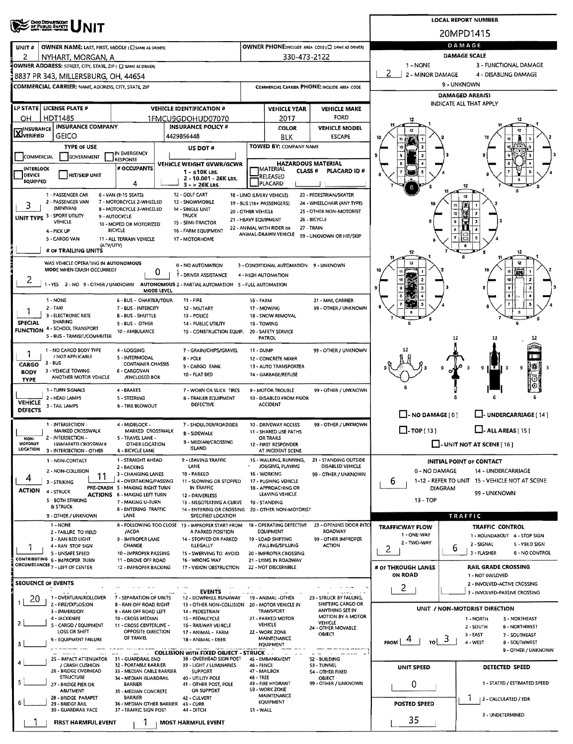|                                                                                                                   | <b>LOCAL REPORT NUMBER</b>                                |                                                    |                                                       |                                       |                                                                      |  |  |  |
|-------------------------------------------------------------------------------------------------------------------|-----------------------------------------------------------|----------------------------------------------------|-------------------------------------------------------|---------------------------------------|----------------------------------------------------------------------|--|--|--|
| <b>OHIO DEPARTMENT</b><br>OF PUBLIC BAFETY                                                                        |                                                           |                                                    |                                                       |                                       | 20MPD1415                                                            |  |  |  |
| OWNER NAME: LAST, FIRST, MIDDLE (CI SAME AS ORIVER)<br>UNIT#                                                      |                                                           | OWNER PHONE: INCLUDE AREA CODE (T) SAME AS DRIVERY |                                                       | DAMAGE                                |                                                                      |  |  |  |
| 2<br>NYHART, MORGAN, A                                                                                            |                                                           | 330-473-2122                                       |                                                       |                                       | <b>DAMAGE SCALE</b>                                                  |  |  |  |
| OWNER ADDRESS: STREET, CITY, STATE, ZIP ( C) SAME AS DRIVERY                                                      |                                                           |                                                    |                                                       | 1 - NONE                              | 3 - FUNCTIONAL DAMAGE                                                |  |  |  |
| 8837 PR 343, MILLERSBURG, OH, 44654                                                                               |                                                           |                                                    |                                                       | 2<br>2 - MINOR DAMAGE                 | 4 - DISABLING DAMAGE                                                 |  |  |  |
| COMMERCIAL CARRIER: NAME, ADDRESS, CITY, STATE, ZIP                                                               |                                                           | COMMERCIAL CARRIER PHONE: INCLUDE AREA CODE        |                                                       | 9 - UNKNOWN<br><b>DAMAGED AREA(S)</b> |                                                                      |  |  |  |
|                                                                                                                   |                                                           |                                                    |                                                       |                                       | <b>INDICATE ALL THAT APPLY</b>                                       |  |  |  |
| LP STATE   LICENSE PLATE #<br>HDT1485<br>OН                                                                       | <b>VEHICLE IDENTIFICATION #</b><br>1FMCU9GDOHUD07070      | <b>VEHICLE YEAR</b><br>2017                        | <b>VEHICLE MAKE</b><br><b>FORD</b>                    |                                       |                                                                      |  |  |  |
| <b>INSURANCE COMPANY</b><br><b>TINSURANCE</b>                                                                     | <b>INSURANCE POLICY #</b>                                 | <b>COLOR</b>                                       | <b>VEHICLE MODEL</b>                                  |                                       |                                                                      |  |  |  |
| <b>Läjverified</b><br>GEICO                                                                                       | 4429856448                                                | BLK                                                | <b>ESCAPE</b>                                         | 10                                    |                                                                      |  |  |  |
| <b>TYPE OF USE</b><br>IN EMERGENCY                                                                                | US DOT #                                                  | TOWED BY: COMPANY NAME                             |                                                       |                                       |                                                                      |  |  |  |
| COMMERCIAL<br>GOVERNMENT<br><b>RESPONSE</b>                                                                       | VEHICLE WEIGHT GVWR/GCWR                                  | <b>HAZARDOUS MATERIAL</b>                          |                                                       |                                       |                                                                      |  |  |  |
| # OCCUPANTS<br>INTERLOCK<br><b>DEVICE</b><br><b>HIT/SKIP UNIT</b>                                                 | $1 - 510K$ LBS.                                           | <b>MATERIAL</b><br><b>CLASS #</b><br>RELEASED      | PLACARD ID#                                           |                                       |                                                                      |  |  |  |
| <b>EQUIPPED</b><br>4                                                                                              | 2 - 10.001 - 26K LBS.<br>$3 - 526K$ LBS.                  | PLACARD                                            |                                                       |                                       |                                                                      |  |  |  |
| 1 - PASSENGER CAR<br>6 - VAN (9-15 SEATS)                                                                         | 12 - GOLF CART                                            | 18 - LIMO (LIVERY VEHICLE)                         | 23 - PEDESTRIAN/SKATER                                |                                       |                                                                      |  |  |  |
| 2 - PASSENGER VAN<br>7 - MOTORCYCLE 2-WHEELED<br>3<br>(MINIVAN)<br>8 - MOTORCYCLE 3-WHEELED                       | 13 - SNOWMOBILE<br>14 - SINGLE UNIT<br>20 - OTHER VEHICLE | 19 - BUS (16+ PASSENGERS)                          | 24 - WHEELCHAIR (ANY TYPE)<br>25 - OTHER NON-MOTORIST |                                       | 10                                                                   |  |  |  |
| UNIT TYPE 3 - SPORT UTILITY<br>9 - AUTOCYCLE<br>VEHICLE<br>10 - MOPED OR MOTORIZED                                | <b>TRUCK</b><br>15 - SEMI-TRACTOR                         | 21 - HEAVY EQUIPMENT                               | 26 - BICYCLE                                          |                                       |                                                                      |  |  |  |
| <b>BICYCLE</b><br>4 - PICK UP                                                                                     | 16 - FARM EQUIPMENT                                       | 22 - ANIMAL WITH RIDER OR<br>ANIMAL-DRAWN VEHICLE  | 27 - TRAIN<br>99 - UNKNOWN OR HIT/SKIP                |                                       |                                                                      |  |  |  |
| 5 - CARGO VAN<br>11 - ALL TERRAIN VEHICLE<br>(ATV/UTV)                                                            | 17 - MOTORHOME                                            |                                                    |                                                       |                                       |                                                                      |  |  |  |
| # OF TRAILING UNITS                                                                                               |                                                           |                                                    |                                                       | 12                                    | 12                                                                   |  |  |  |
| WAS VEHICLE OPERATING IN AUTONOMOUS<br>MODE WHEN CRASH OCCURRED?                                                  | 0 - NO AUTOMATION                                         | 3 - CONDITIONAL AUTOMATION 9 - UNKNOWN             |                                                       |                                       |                                                                      |  |  |  |
| 0<br>2                                                                                                            | <b>1 - DRIVER ASSISTANCE</b>                              | 4 - HIGH AUTOMATION                                |                                                       |                                       |                                                                      |  |  |  |
| 1 - YES 2 - NO 9 - OTHER / UNKNOWN AUTONOMOUS 2 - PARTIAL AUTOMATION 5 - FULL AUTOMATION<br>MODE LEVEL            |                                                           |                                                    |                                                       |                                       | $\overline{\mathbf{3}}$                                              |  |  |  |
| 1 - NONE<br><b>6 - BUS - CHARTER/TOUR</b>                                                                         | $11 - FIRE$                                               | 16 - FARM                                          | 21 - MAIL CARRIER                                     |                                       |                                                                      |  |  |  |
| $2 - TAXI$<br>7 - BUS - INTERCITY<br>3 - ELECTRONIC RIDE<br><b>B-BUS-SHUTTLE</b>                                  | 12 - MILITARY<br>13 - POLICE                              | 17 - MOWING<br>18 - SNOW REMOVAL                   | 99 - OTHER / UNKNOWN                                  |                                       | ¢                                                                    |  |  |  |
| SHARING<br><b>SPECIAL</b><br>9 - BUS - OTHER<br><b>FUNCTION 4 - SCHOOL TRANSPORT</b>                              | 14 - PUBLIC UTILITY                                       | 19 - TOWING                                        |                                                       |                                       |                                                                      |  |  |  |
| 10 - AMBULANCE<br>5 - BUS - TRANSIT/COMMUTER                                                                      | 15 - CONSTRUCTION EQUIP.                                  | 20 - SAFETY SERVICE<br><b>PATROL</b>               |                                                       |                                       | 12                                                                   |  |  |  |
| 1 - NO CARGO BODY TYPE<br>4 - LOGGING                                                                             | 7 - GRAIN/CHIPS/GRAVEL                                    | <b>11 - DUMP</b>                                   | 99 - OTHER / UNKNOWN                                  |                                       |                                                                      |  |  |  |
| 1<br>/ NOT APPLICABLE<br>5 - INTERMODAL<br>$2 - BUS$<br><b>CONTAINER CHASSIS</b>                                  | $8 - POLE$                                                | 12 - CONCRETE MIXER                                |                                                       |                                       |                                                                      |  |  |  |
| CARGO<br>3 - VEHICLE TOWING<br>6 - CARGOVAN<br><b>BODY</b>                                                        | 9-CARGO TANK<br>10 FLAT BED                               | 13 - AUTO TRANSPORTER<br>14 - GARBAGE/REFUSE       |                                                       |                                       | 雛<br>9<br>9                                                          |  |  |  |
| ANOTHER MOTOR VEHICLE<br>/ENCLOSED BOX<br><b>TYPE</b>                                                             |                                                           |                                                    |                                                       |                                       |                                                                      |  |  |  |
| 1 - TURN SIGNALS<br>4 - BRAKES<br>2 - HEAD LAMPS<br>5 - STEERING                                                  | 7 - WORN OR SLICK TIRES<br>8 - TRAILER EQUIPMENT          | 9 - MOTOR TROUBLE<br>10 - DISABLED FROM PRIOR      | 99 - OTHER / UNKNOWN                                  |                                       |                                                                      |  |  |  |
| <b>VEHICLE</b><br>3 - TAIL LAMPS<br>6 - TIRE BLOWOUT<br><b>DEFECTS</b>                                            | DEFECTIVE                                                 | <b>ACCIDENT</b>                                    |                                                       |                                       |                                                                      |  |  |  |
|                                                                                                                   |                                                           |                                                    |                                                       | $\Box$ - NO DAMAGE [ 0 ]              | LI- UNDERCARRIAGE [ 14 ]                                             |  |  |  |
| 1 - INTERSECTION -<br>4 - MIDBLOCK -<br><b>MARKED CROSSWALK</b><br>MARKED CROSSWALK                               | 7 - SHOULDER/ROADSIDE<br><b>B - SIDEWALK</b>              | 10 - DRIVEWAY ACCESS<br>11 - SHARED USE PATHS      | 99 - OTHER / UNKNOWN                                  | $\Box$ -TOP(13)                       | $\Box$ - ALL AREAS [ 15 ]                                            |  |  |  |
| 2 - INTERSECTION -<br>5 - TRAVEL LANE -<br>NON-<br><b>MOTORIST</b><br><b>UNMARKED CROSSWALK</b><br>OTHER LOCATION | 9 - MEDIAN/CROSSING                                       | OR TRAILS<br>12 - FIRST RESPONDER                  |                                                       |                                       | $\Box$ - UNIT NOT AT SCENE [16]                                      |  |  |  |
| LOCATION<br>3 - INTERSECTION - OTHER<br>6 - BICYCLE LANE                                                          | <b>ISLAND</b>                                             | AT INCIDENT SCENE                                  |                                                       |                                       |                                                                      |  |  |  |
| 1 - STRAIGHT AHEAD<br>1 - NON-CONTACT<br>2 - BACKING                                                              | 9 - LEAVING TRAFFIC<br>LANE                               | 15 - WALKING, RUNNING,<br>JOGGING, PLAYING         | 21 - STANDING OUTSIDE<br>DISABLED VEHICLE             |                                       | <b>INITIAL POINT OF CONTACT</b>                                      |  |  |  |
| 2 - NON-COLLISION<br>3 - CHANGING LANES<br>11<br>4<br>4 - OVERTAKING/PASSING                                      | 10 - PARKED<br>11 - SLOWING OR STOPPED                    | 16 - WORKING<br>17 - PUSHING VEHICLE               | 99 - OTHER / UNKNOWN                                  | 0 - NO DAMAGE                         | 14 - UNDERCARRIAGE<br>1-12 - REFER TO UNIT 15 - VEHICLE NOT AT SCENE |  |  |  |
| 3 - 5TRIKING<br>PRE-CRASH S - MAKING RIGHT TURN<br><b>ACTION</b><br>4 - STRUCK                                    | IN TRAFFIC                                                | 18 - APPROACHING OR                                |                                                       | 6<br><b>DIAGRAM</b>                   |                                                                      |  |  |  |
| <b>ACTIONS 6 - MAKING LEFT TURN</b><br>5 - BOTH STRIKING<br>7 - MAKING U-TURN                                     | 12 - DRIVERLESS<br>13 - NEGOTIATING A CURVE               | LEAVING VEHICLE<br>19 - STANDING                   |                                                       | $13 - TOP$                            | 99 - UNKNOWN                                                         |  |  |  |
| & STRUCK<br><b>B-ENTERING TRAFFIC</b><br>LANE<br>9 - OTHER / UNKNOWN                                              | 14 - ENTERING OR CROSSING<br>SPECIFIED LOCATION           | 20 - OTHER NON-MOTORIST                            |                                                       |                                       | TRAFFIC                                                              |  |  |  |
| 1 - NONE                                                                                                          | 8 - FOLLOWING TOO CLOSE 13 - IMPROPER START FROM          | 18 - OPERATING DEFECTIVE                           | 23 - OPENING DOOR INTO                                | <b>TRAFFICWAY FLOW</b>                | <b>TRAFFIC CONTROL</b>                                               |  |  |  |
| /ACDA<br>2 - FAILURE TO YIELD<br>3 - RAN RED LIGHT<br>9 - IMPROPER LANE                                           | A PARKED POSITION<br>14 - STOPPED OR PARKED               | <b>EQUIPMENT</b><br>19 - LOAD SHIFTING             | <b>ROADWAY</b><br>99 - OTHER IMPROPER                 | 1 - ONE-WAY                           | 1 - ROUNDABOUT 4 - STOP SIGN                                         |  |  |  |
| CHANGE<br>4 - RAN STOP SIGN                                                                                       | <b>ILLEGALLY</b>                                          | /FALLING/SPILLING                                  | <b>ACTION</b>                                         | 2 - TWO-WAY<br>2                      | 2 - SIGNAL<br>5 - YIELD SIGN<br>6                                    |  |  |  |
| 5 - UNSAFE SPEED<br>10 - IMPROPER PASSING<br>CONTRIBUTING 6 - IMPROPER TURN<br>11 - DROVE OFF ROAD                | 15 - SWERVING TO AVOID<br>16 - WRONG WAY                  | 20 - IMPROPER CROSSING<br>21 - LYING IN ROADWAY    |                                                       |                                       | 3 - FLASHER<br><b>6 - NO CONTROL</b>                                 |  |  |  |
| CIRCUMSTANCES 7 - LEFT OF CENTER<br>12 - IMPROPER BACKING                                                         | 17 - VISION OBSTRUCTION                                   | 22 - NOT DISCERNIBLE                               |                                                       | # OF THROUGH LANES<br>ON ROAD         | <b>RAIL GRADE CROSSING</b>                                           |  |  |  |
| <b>SEOUENCE OF EVENTS</b>                                                                                         |                                                           |                                                    |                                                       |                                       | 1 - NOT INVLOVED<br>2 - INVOLVED-ACTIVE CROSSING                     |  |  |  |
| 1 - OVERTURN/ROLLOVER<br>7 - SEPARATION OF UNITS                                                                  | <b>EVENTS</b><br>12 - DOWNHILL RUNAWAY                    | 19 - ANIMAL -OTHER                                 | المتقدما<br>23 - STRUCK 8Y FALLING,                   | 2                                     | 3 - INVOLVED-PASSIVE CROSSING                                        |  |  |  |
| 20<br>2 - FIRE/EXPLOSION<br><b>8 - RAN OFF ROAD RIGHT</b>                                                         | 13 - OTHER NON-COLLISION 20 - MOTOR VEHICLE IN            |                                                    | SHIFTING CARGO OR                                     |                                       | UNIT / NON-MOTORIST DIRECTION                                        |  |  |  |
| 3 - IMMERSION<br>9 - RAN OFF ROAD LEFT<br>4 - JACKKNIFE<br>10 - CROSS MEDIAN                                      | 14 - PEDESTRIAN<br>15 - PEDALCYCLE                        | TRANSPORT<br>21 - PARKED MOTOR                     | ANYTHING SET IN<br>MOTION 8Y A MOTOR                  |                                       | 1 - NORTH<br><b>S-NORTHEAST</b>                                      |  |  |  |
| 5 - CARGO / EQUIPMENT<br>11 - CROSS CENTERLINE -<br>LOSS OR SHIFT<br>OPPOSITE DIRECTION                           | 16 - RAILWAY VEHICLE<br>17 - ANIMAL - FARM                | VEHICLE<br>22 - WORK ZONE                          | <b>VEHICLE</b><br>24 - OTHER MOVABLE                  |                                       | 2 - SOUTH<br>6 - NORTHWEST                                           |  |  |  |
| OF TRAVEL<br><b>6 - EQUIPMENT FAILURE</b><br>з                                                                    | 18 - ANIMAL - DEER                                        | <b>MAINTENANCE</b>                                 | OBJECT                                                | 3<br><b>FROM</b><br>TOI               | 3 - EAST<br>7 - SOUTHEAST<br>4 - WEST<br><b>B-SOUTHWEST</b>          |  |  |  |
|                                                                                                                   | <b>COLLISION WITH FIXED OBJECT - STRUCK </b>              | <b>EQUIPMENT</b>                                   |                                                       |                                       | 9 - OTHER / UNKNOWN                                                  |  |  |  |
| 25 - IMPACT ATTENUATOR<br>31 - GUARDRAIL END<br>/ CRASH CUSHION<br>32 - PORTABLE BARRIER                          | 38 - OVERHEAD SIGN POST<br>39 - LIGHT / LUMINARIES        | 45 - EMBANKMENT<br>46 - FENCE                      | 52 - BUILDING<br>53 - TUNNEL                          | UNIT SPEED                            | DETECTED SPEED                                                       |  |  |  |
| 26 - BRIDGE OVERHEAD<br>33 - MEDIAN CABLE BARRIER<br><b>STRUCTURE</b><br>34 - MEDIAN GUARDRAIL                    | <b>SUPPORT</b><br>40 - UTILITY POLE                       | 47 - MAILBOX<br>48 - TREE                          | 54 - OTHER FIXED<br>OBJECT                            |                                       |                                                                      |  |  |  |
| 5<br>27 - BRIDGE PIER OR<br><b>BARRIER</b>                                                                        | 41 - OTHER POST, POLE                                     | 49 - FIRE HYDRANT<br>50 - WORK ZONE                | 99 - OTHER / UNKNOWN                                  | 0                                     | 1 - STATED / ESTIMATED SPEED                                         |  |  |  |
| <b>ABUTMENT</b><br>35 - MEDIAN CONCRETE<br>28 - 8RIDGE PARAPET<br>BARRIER                                         | OR SUPPORT<br>42 - CULVERT                                | MAINTENANCE<br><b>EQUIPMENT</b>                    |                                                       |                                       | 2 - CALCULATED / EDR                                                 |  |  |  |
| 6<br>29 - BRIDGE RAIL<br>36 - MEDIAN OTHER BARRIER<br>30 - GUARDRAIL FACE<br>37 - TRAFFIC 51GN POST               | 43 - CURB<br>44 - DITCH                                   | S1 - WALL                                          |                                                       | <b>POSTED SPEED</b>                   |                                                                      |  |  |  |
| <b>FIRST HARMFUL EVENT</b>                                                                                        | <b>MOST HARMFUL EVENT</b>                                 |                                                    |                                                       | 35                                    | 3 - UNDETERMINED                                                     |  |  |  |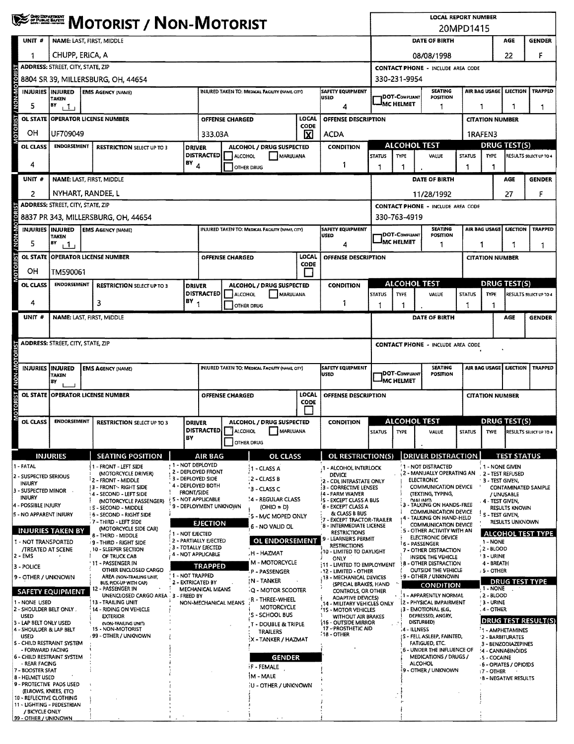|                                                                                     | <b>WESTERN MOTORIST / NON-MOTORIST</b>                                                                                                                                                                                          |                                                                            |                                              |                   |                                                 |                                                 |                                        |                                                                         | <b>LOCAL REPORT NUMBER</b><br>20MPD1415     |                                                         |                                                                     |                        |                                                                                                                                                                                                                                                                                                                                                                                                                                                                                                                                                                                                                                                                                                                                                                                                                                                                                       |    |               |  |  |
|-------------------------------------------------------------------------------------|---------------------------------------------------------------------------------------------------------------------------------------------------------------------------------------------------------------------------------|----------------------------------------------------------------------------|----------------------------------------------|-------------------|-------------------------------------------------|-------------------------------------------------|----------------------------------------|-------------------------------------------------------------------------|---------------------------------------------|---------------------------------------------------------|---------------------------------------------------------------------|------------------------|---------------------------------------------------------------------------------------------------------------------------------------------------------------------------------------------------------------------------------------------------------------------------------------------------------------------------------------------------------------------------------------------------------------------------------------------------------------------------------------------------------------------------------------------------------------------------------------------------------------------------------------------------------------------------------------------------------------------------------------------------------------------------------------------------------------------------------------------------------------------------------------|----|---------------|--|--|
| UNIT <sup>#</sup>                                                                   | NAME: LAST, FIRST, MIDDLE                                                                                                                                                                                                       |                                                                            |                                              |                   |                                                 |                                                 |                                        |                                                                         |                                             | DATE OF BIRTH<br><b>AGE</b>                             |                                                                     |                        |                                                                                                                                                                                                                                                                                                                                                                                                                                                                                                                                                                                                                                                                                                                                                                                                                                                                                       |    |               |  |  |
| 1                                                                                   | CHUPP, ERICA, A                                                                                                                                                                                                                 |                                                                            |                                              |                   |                                                 |                                                 |                                        |                                                                         |                                             | 08/08/1998                                              |                                                                     |                        |                                                                                                                                                                                                                                                                                                                                                                                                                                                                                                                                                                                                                                                                                                                                                                                                                                                                                       | 22 | F             |  |  |
|                                                                                     | <b>ADDRESS: STREET, CITY, STATE, ZIP</b>                                                                                                                                                                                        |                                                                            | <b>CONTACT PHONE - INCLUDE AREA CODE</b>     |                   |                                                 |                                                 |                                        |                                                                         |                                             |                                                         |                                                                     |                        |                                                                                                                                                                                                                                                                                                                                                                                                                                                                                                                                                                                                                                                                                                                                                                                                                                                                                       |    |               |  |  |
| <b>10TORIST / NON-MOTOR</b>                                                         | 8804 SR 39, MILLERSBURG, OH, 44654<br>330-231-9954<br><b>SEATING</b><br><b>AIR BAG USAGE</b><br>SAFETY EQUIPMENT<br><b>INJURIES INJURED</b><br><b>INJURED TAKEN TO: MEDICAL FACIUTY (NAME CITY)</b><br><b>EMS AGENCY (NAME)</b> |                                                                            |                                              |                   |                                                 |                                                 |                                        |                                                                         |                                             |                                                         |                                                                     |                        |                                                                                                                                                                                                                                                                                                                                                                                                                                                                                                                                                                                                                                                                                                                                                                                                                                                                                       |    |               |  |  |
| 5                                                                                   | TAKEN<br>BY                                                                                                                                                                                                                     |                                                                            |                                              |                   |                                                 |                                                 |                                        | <b>USED</b>                                                             |                                             | <b>DOT-COMPLIANT</b><br>IMC HELMET                      | POSITION                                                            |                        |                                                                                                                                                                                                                                                                                                                                                                                                                                                                                                                                                                                                                                                                                                                                                                                                                                                                                       |    |               |  |  |
| OL STATE                                                                            | $\mathbf{1}$<br><b>OPERATOR LICENSE NUMBER</b><br><b>OFFENSE CHARGED</b>                                                                                                                                                        |                                                                            |                                              |                   |                                                 |                                                 | LOCAL                                  | 4<br>OFFENSE DESCRIPTION                                                |                                             | 1                                                       |                                                                     |                        |                                                                                                                                                                                                                                                                                                                                                                                                                                                                                                                                                                                                                                                                                                                                                                                                                                                                                       |    |               |  |  |
| OН                                                                                  | UF709049<br>333.03A                                                                                                                                                                                                             |                                                                            |                                              |                   |                                                 |                                                 | CODE<br>⊠                              | <b>ACDA</b>                                                             |                                             |                                                         |                                                                     |                        |                                                                                                                                                                                                                                                                                                                                                                                                                                                                                                                                                                                                                                                                                                                                                                                                                                                                                       |    |               |  |  |
| OL CLASS                                                                            | <b>ENDORSEMENT</b>                                                                                                                                                                                                              | <b>RESTRICTION SELECT UP TO 3</b><br><b>DRIVER</b>                         |                                              |                   |                                                 | ALCOHOL / DRUG SUSPECTED                        |                                        | <b>CONDITION</b>                                                        |                                             | <b>ALCOHOL TEST</b>                                     |                                                                     |                        | <b>DRUG TEST(S)</b>                                                                                                                                                                                                                                                                                                                                                                                                                                                                                                                                                                                                                                                                                                                                                                                                                                                                   |    |               |  |  |
|                                                                                     |                                                                                                                                                                                                                                 |                                                                            |                                              | <b>DISTRACTED</b> | <b>ALCOHOL</b>                                  | MARUUANA                                        |                                        |                                                                         | <b>STATUS</b>                               | TYPE                                                    | VALUE                                                               | <b>STATUS</b>          | <b>TYPE</b>                                                                                                                                                                                                                                                                                                                                                                                                                                                                                                                                                                                                                                                                                                                                                                                                                                                                           |    |               |  |  |
| 4<br>UNIT #                                                                         | $BY$ <sub>4</sub>                                                                                                                                                                                                               |                                                                            |                                              |                   |                                                 | <b>OTHER DRUG</b>                               |                                        | 1                                                                       | 1                                           | 1                                                       | DATE OF BIRTH                                                       | 1                      |                                                                                                                                                                                                                                                                                                                                                                                                                                                                                                                                                                                                                                                                                                                                                                                                                                                                                       |    |               |  |  |
|                                                                                     | NAME: LAST, FIRST, MIDDLE<br>NYHART, RANDEE, L                                                                                                                                                                                  |                                                                            |                                              |                   |                                                 |                                                 |                                        |                                                                         |                                             |                                                         |                                                                     |                        |                                                                                                                                                                                                                                                                                                                                                                                                                                                                                                                                                                                                                                                                                                                                                                                                                                                                                       |    |               |  |  |
| 2                                                                                   | <b>ADDRESS: STREET, CITY, STATE, ZIP</b>                                                                                                                                                                                        |                                                                            |                                              |                   |                                                 |                                                 |                                        |                                                                         |                                             |                                                         | 11/28/1992<br><b>CONTACT PHONE - INCLUDE AREA CODE</b>              |                        | <b>GENDER</b><br><b>EJECTION</b><br><b>TRAPPED</b><br>1<br>1<br>1<br><b>CITATION NUMBER</b><br>1RAFEN3<br>RESULTS SELECT UP TO 4<br>AGE<br><b>GENDER</b><br>27<br>F<br><b>EJECTION</b><br><b>TRAPPED</b><br>1<br>1<br>1<br><b>CITATION NUMBER</b><br><b>DRUG TEST(S)</b><br><b>TYPE</b><br>RESULTS SELECT UP TO 4<br>1<br>AGE<br>AIR BAG USAGE<br><b>EJECTION</b><br><b>TRAPPED</b><br><b>DRUG TEST(S)</b><br>STATUS TYPE RESULTS SELECT UP TO 4<br><b>TEST STATUS</b><br>1 - NONE GIVEN<br>2 - MANUALLY OPERATING AN 2 - TEST REFUSED<br>13 - TEST GIVEN,<br><b>CONTAMINATED SAMPLE</b><br>/ UNUSABLE<br>4 - TEST GIVEN,<br><b>RESULTS KNOWN</b><br>: 5 - TEST GIVEN.<br><b>RESULTS UNKNOWN</b><br><b>ALCOHOL TEST TYPE</b><br>1 - NONE<br>, 2 - BLOOD<br><b>3 - URINE</b><br>4 - BREATH<br>, S - OTHER<br><b>DRUG TEST TYPE</b><br>$-1 - NONE$<br>$, 2 - BLOOD$<br><b>3 - URINE</b> |    |               |  |  |
|                                                                                     |                                                                                                                                                                                                                                 | 8837 PR 343, MILLERSBURG, OH, 44654                                        |                                              |                   |                                                 |                                                 |                                        |                                                                         |                                             | 330-763-4919                                            |                                                                     |                        |                                                                                                                                                                                                                                                                                                                                                                                                                                                                                                                                                                                                                                                                                                                                                                                                                                                                                       |    |               |  |  |
| INJURIES INJURED                                                                    | <b>TAKEN</b>                                                                                                                                                                                                                    | <b>EMS AGENCY (NAME)</b>                                                   |                                              |                   |                                                 | INJURED TAKEN TO: MEDICAL FACILITY (NAME, CITY) |                                        | <b>SAFETY EQUIPMENT</b><br><b>USED</b>                                  |                                             | DOT-COMPUANT                                            | <b>SEATING</b><br><b>POSITION</b>                                   |                        | <b>AIR BAG USAGE</b>                                                                                                                                                                                                                                                                                                                                                                                                                                                                                                                                                                                                                                                                                                                                                                                                                                                                  |    |               |  |  |
| 5                                                                                   | BY<br>111                                                                                                                                                                                                                       |                                                                            |                                              |                   |                                                 |                                                 |                                        | 4                                                                       |                                             | JMC HELMET                                              | 1                                                                   |                        |                                                                                                                                                                                                                                                                                                                                                                                                                                                                                                                                                                                                                                                                                                                                                                                                                                                                                       |    |               |  |  |
| <b>OTORIST / NON-MOTORIST</b>                                                       | OL STATE OPERATOR LICENSE NUMBER                                                                                                                                                                                                |                                                                            |                                              |                   | <b>OFFENSE CHARGED</b>                          |                                                 | LOCAL<br><b>CODE</b>                   | OFFENSE DESCRIPTION                                                     |                                             |                                                         |                                                                     |                        |                                                                                                                                                                                                                                                                                                                                                                                                                                                                                                                                                                                                                                                                                                                                                                                                                                                                                       |    |               |  |  |
| ОH                                                                                  | TM590061                                                                                                                                                                                                                        |                                                                            |                                              |                   |                                                 |                                                 | ΙI                                     |                                                                         |                                             |                                                         |                                                                     |                        |                                                                                                                                                                                                                                                                                                                                                                                                                                                                                                                                                                                                                                                                                                                                                                                                                                                                                       |    |               |  |  |
| OL CLASS                                                                            | <b>ENDORSEMENT</b>                                                                                                                                                                                                              | <b>RESTRICTION SELECT UP TO 3</b><br><b>DRIVER</b>                         |                                              |                   |                                                 | ALCOHOL / DRUG SUSPECTED                        |                                        | <b>CONDITION</b>                                                        |                                             | <b>ALCOHOL TEST</b><br><b>TYPE</b>                      |                                                                     |                        |                                                                                                                                                                                                                                                                                                                                                                                                                                                                                                                                                                                                                                                                                                                                                                                                                                                                                       |    |               |  |  |
| 4                                                                                   |                                                                                                                                                                                                                                 | <b>DISTRACTED</b><br>$BY_1$<br>3                                           |                                              |                   | <b>ALCOHOL</b>                                  | MARUUANA<br>OTHER DRUG                          |                                        | 1                                                                       | <b>STATUS</b><br>1                          | 1                                                       | VALUE                                                               | <b>STATUS</b><br>1     |                                                                                                                                                                                                                                                                                                                                                                                                                                                                                                                                                                                                                                                                                                                                                                                                                                                                                       |    |               |  |  |
| UNIT #                                                                              | NAME: LAST, FIRST, MIDDLE                                                                                                                                                                                                       |                                                                            |                                              |                   |                                                 |                                                 |                                        |                                                                         |                                             |                                                         | DATE OF BIRTH                                                       |                        |                                                                                                                                                                                                                                                                                                                                                                                                                                                                                                                                                                                                                                                                                                                                                                                                                                                                                       |    | <b>GENDER</b> |  |  |
|                                                                                     |                                                                                                                                                                                                                                 |                                                                            |                                              |                   |                                                 |                                                 |                                        |                                                                         |                                             |                                                         |                                                                     |                        |                                                                                                                                                                                                                                                                                                                                                                                                                                                                                                                                                                                                                                                                                                                                                                                                                                                                                       |    |               |  |  |
|                                                                                     | ADDRESS: STREET, CITY, STATE, ZIP                                                                                                                                                                                               |                                                                            |                                              |                   |                                                 |                                                 |                                        |                                                                         | <b>CONTACT PHONE - INCLUDE AREA CODE</b>    |                                                         |                                                                     |                        |                                                                                                                                                                                                                                                                                                                                                                                                                                                                                                                                                                                                                                                                                                                                                                                                                                                                                       |    |               |  |  |
|                                                                                     |                                                                                                                                                                                                                                 |                                                                            |                                              |                   |                                                 |                                                 |                                        |                                                                         |                                             |                                                         |                                                                     |                        |                                                                                                                                                                                                                                                                                                                                                                                                                                                                                                                                                                                                                                                                                                                                                                                                                                                                                       |    |               |  |  |
| NON-MO<br><b>INJURIES</b>                                                           | <i><b>INJURED</b></i><br><b>EMS AGENCY (NAME)</b><br>TAKEN                                                                                                                                                                      |                                                                            |                                              |                   | INJURED TAKEN TO: MEDICAL FACILITY (NAME, CITY) |                                                 | <b>SAFETY EQUIPMENT</b><br><b>USED</b> |                                                                         | <b>DOT-COMPLIANT</b><br><b>JMC HELMET</b>   | <b>SEATING</b><br><b>POSITION</b>                       |                                                                     |                        |                                                                                                                                                                                                                                                                                                                                                                                                                                                                                                                                                                                                                                                                                                                                                                                                                                                                                       |    |               |  |  |
| <b>OL STATE</b>                                                                     | B٧<br><b>OPERATOR LICENSE NUMBER</b>                                                                                                                                                                                            |                                                                            |                                              |                   | <b>OFFENSE CHARGED</b>                          |                                                 | LOCAL                                  | OFFENSE DESCRIPTION                                                     |                                             |                                                         |                                                                     | <b>CITATION NUMBER</b> |                                                                                                                                                                                                                                                                                                                                                                                                                                                                                                                                                                                                                                                                                                                                                                                                                                                                                       |    |               |  |  |
| MOTORIST /                                                                          |                                                                                                                                                                                                                                 |                                                                            |                                              |                   |                                                 |                                                 | <b>CODE</b>                            |                                                                         |                                             |                                                         |                                                                     |                        |                                                                                                                                                                                                                                                                                                                                                                                                                                                                                                                                                                                                                                                                                                                                                                                                                                                                                       |    |               |  |  |
| OL CLASS                                                                            | ENDORSEMENT                                                                                                                                                                                                                     | <b>RESTRICTION SELECT UP TO 3</b>                                          | <b>DRIVER</b>                                |                   |                                                 | ALCOHOL / DRUG SUSPECTED                        |                                        | <b>CONDITION</b>                                                        | ALCOHOL TEST                                |                                                         |                                                                     |                        |                                                                                                                                                                                                                                                                                                                                                                                                                                                                                                                                                                                                                                                                                                                                                                                                                                                                                       |    |               |  |  |
|                                                                                     |                                                                                                                                                                                                                                 |                                                                            | BΥ                                           |                   |                                                 | <b>DISTRACTED</b> ALCOHOL MARIJUANA             |                                        |                                                                         | STATUS                                      |                                                         | TYPE VALUE                                                          |                        |                                                                                                                                                                                                                                                                                                                                                                                                                                                                                                                                                                                                                                                                                                                                                                                                                                                                                       |    |               |  |  |
|                                                                                     |                                                                                                                                                                                                                                 |                                                                            |                                              |                   |                                                 | OTHER DRUG                                      |                                        |                                                                         |                                             |                                                         |                                                                     |                        |                                                                                                                                                                                                                                                                                                                                                                                                                                                                                                                                                                                                                                                                                                                                                                                                                                                                                       |    |               |  |  |
| 1 - FATAL                                                                           | <b>INJURIES</b>                                                                                                                                                                                                                 | <b>SEATING POSITION</b><br>1 - FRONT - LEFT SIDE                           | 1 - NOT DEPLOYED                             | AIR BAG           |                                                 | <b>OL CLASS</b><br>1 - CLASS A                  |                                        | OL RESTRICTION(S)<br>.1 - ALCOHOL INTERLOCK                             |                                             |                                                         | <b>DRIVER DISTRACTION</b><br>1 - NOT DISTRACTED                     |                        |                                                                                                                                                                                                                                                                                                                                                                                                                                                                                                                                                                                                                                                                                                                                                                                                                                                                                       |    |               |  |  |
| 2 - SUSPECTED SERIOUS<br><b>INJURY</b>                                              |                                                                                                                                                                                                                                 | (MOTORCYCLE DRIVER)<br>2 - FRONT - MIDDLE                                  | 2 - DEPLOYED FRONT<br>3 - DEPLOYED SIDE      |                   |                                                 | : 2 – CLASS B                                   |                                        | <b>DEVICE</b><br>2 - CDL INTRASTATE ONLY                                |                                             |                                                         | <b>ELECTRONIC</b>                                                   |                        |                                                                                                                                                                                                                                                                                                                                                                                                                                                                                                                                                                                                                                                                                                                                                                                                                                                                                       |    |               |  |  |
| 3 - SUSPECTED MINOR - -                                                             |                                                                                                                                                                                                                                 | <b>13 - FRONT - RIGHT SIDE</b><br>14 - SECOND - LEFT SIDE                  | 4 - DEPLOYED BOTH<br><b>FRONT/SIDE</b>       |                   |                                                 | '3 - CLASS C                                    |                                        | 3 - CORRECTIVE LENSES<br>14 - FARM WAIVER                               |                                             | COMMUNICATION DEVICE<br><b><i>(TEXTING, TYPING,</i></b> |                                                                     |                        |                                                                                                                                                                                                                                                                                                                                                                                                                                                                                                                                                                                                                                                                                                                                                                                                                                                                                       |    |               |  |  |
| <b>INJURY</b><br>4 - POSSIBLE INJURY                                                |                                                                                                                                                                                                                                 | (MOTORCYCLE PASSENGER)<br><b>15 - SECOND - MIDDLE</b>                      | 5 - NOT APPLICABLE<br>9 - DEPLOYMENT UNKNOWN |                   |                                                 | 4 - REGULAR CLASS<br>$(OHIO = D)$               |                                        | 5 - EXCEPT CLASS A BUS<br>'6 - EXCEPT CLASS A                           |                                             |                                                         | <b>DIALING</b><br>3 - TALKING ON HANDS-FREE<br>COMMUNICATION DEVICE |                        |                                                                                                                                                                                                                                                                                                                                                                                                                                                                                                                                                                                                                                                                                                                                                                                                                                                                                       |    |               |  |  |
| 5 - NO APPARENT INJURY                                                              |                                                                                                                                                                                                                                 | <b>6 - SECOND - RIGHT SIDE</b><br>7-THIRD - LEFT SIDE                      |                                              | <b>EJECTION</b>   |                                                 | 5 - M/C MOPED ONLY<br>6 - NO VALID OL           |                                        | & CLASS B BUS<br>7 - EXCEPT TRACTOR-TRAILER<br>8 - INTERMEDIATE LICENSE |                                             |                                                         | 4 - TALKING ON HAND-HELD<br><b>COMMUNICATION DEVICE</b>             |                        |                                                                                                                                                                                                                                                                                                                                                                                                                                                                                                                                                                                                                                                                                                                                                                                                                                                                                       |    |               |  |  |
|                                                                                     | <b>INJURIES TAKEN BY</b>                                                                                                                                                                                                        | (MOTORCYCLE SIDE CAR)<br>8 - THIRD - MIDDLE                                | 1 - NOT EJECTED<br>2 - PARTIALLY EJECTED     |                   |                                                 |                                                 |                                        | <b>RESTRICTIONS</b><br>- LEARNER'S PERMIT<br>9                          |                                             |                                                         | 5 - OTHER ACTIVITY WITH AN<br>ELECTRONIC DEVICE                     |                        |                                                                                                                                                                                                                                                                                                                                                                                                                                                                                                                                                                                                                                                                                                                                                                                                                                                                                       |    |               |  |  |
| 1 - NOT TRANSPORTED<br><b>/TREATED AT SCENE</b>                                     |                                                                                                                                                                                                                                 | <b>9-THIRD - RIGHT SIDE</b><br>10 - SLEEPER SECTION                        | 3 - TOTALLY EJECTED<br>4 - NOT APPLICABLE    |                   |                                                 | OL ENDORSEMENT<br>.H - HAZMAT                   |                                        | <b>RESTRICTIONS</b><br>10 - LIMITED TO DAYLIGHT                         |                                             |                                                         | <b>16 - PASSENGER</b><br>7 - OTHER DISTRACTION                      |                        |                                                                                                                                                                                                                                                                                                                                                                                                                                                                                                                                                                                                                                                                                                                                                                                                                                                                                       |    |               |  |  |
| 2 - EMS<br>3 - POLICE                                                               |                                                                                                                                                                                                                                 | OF TRUCK CAB<br>' 11 - PASSENGER (N                                        |                                              | <b>TRAPPED</b>    |                                                 | M - MOTORCYCLE                                  |                                        | ONLY<br>11 - LIMITED TO EMPLOYMENT                                      |                                             | INSIDE THE VEHICLE<br><b>8 - OTHER DISTRACTION</b>      |                                                                     |                        |                                                                                                                                                                                                                                                                                                                                                                                                                                                                                                                                                                                                                                                                                                                                                                                                                                                                                       |    |               |  |  |
| 9 - OTHER / UNKNOWN                                                                 |                                                                                                                                                                                                                                 | OTHER ENCLOSED CARGO<br>AREA (NON-TRAILING UNIT,<br>BUS, PICK-UP WITH CAP) | 1 - NOT TRAPPED<br>2 - EXTRICATED BY         |                   |                                                 | P - PASSENGER<br>IN - TANKER                    |                                        | 12 - LIMITED - OTHER<br>: 13 - MECHANICAL DEVICES                       | OUTSIDE THE VEHICLE<br>-9 - OTHER / UNKNOWN |                                                         |                                                                     |                        |                                                                                                                                                                                                                                                                                                                                                                                                                                                                                                                                                                                                                                                                                                                                                                                                                                                                                       |    |               |  |  |
|                                                                                     | <b>SAFETY EQUIPMENT</b>                                                                                                                                                                                                         | 12 - PASSENGER IN<br>UNENCLOSED CARGO AREA 3                               | - FREED BY                                   | MECHANICAL MEANS  |                                                 | Q - MOTOR SCOOTER                               |                                        | (SPECIAL BRAKES, HAND<br>CONTROLS, OR OTHER<br><b>ADAPTIVE DEVICES)</b> |                                             |                                                         | <b>CONDITION</b><br>:1 - APPARENTLY NORMAL                          |                        |                                                                                                                                                                                                                                                                                                                                                                                                                                                                                                                                                                                                                                                                                                                                                                                                                                                                                       |    |               |  |  |
| 1 - NONE USED<br>2 - SHOULDER BELT ONLY.                                            |                                                                                                                                                                                                                                 | <b>13 - TRAILING UNIT</b><br>14 - RIDING ON VEHICLE                        |                                              |                   | NON-MECHANICAL MEANS                            | R - THREE-WHEEL<br><b>MOTORCYCLE</b>            |                                        | .14 - MILITARY VEHICLES ONLY<br>'15 - MOTOR VEHICLES                    |                                             |                                                         | 2 - PHYSICAL IMPAIRMENT<br>3 - EMOTIONAL (E.G.                      |                        | .4 - OTHER                                                                                                                                                                                                                                                                                                                                                                                                                                                                                                                                                                                                                                                                                                                                                                                                                                                                            |    |               |  |  |
| <b>USED</b><br>3 - LAP BELT ONLY USED                                               |                                                                                                                                                                                                                                 | <b>EXTERIOR</b><br>(NON-TRAILING UNIT)                                     |                                              |                   |                                                 | 'S - SCHOOL BUS<br>T - DOUBLE & TRIPLE          |                                        | WITHOUT AIR BRAKES<br>16 - OUTSIDE MIRROR                               |                                             | DEPRESSED, ANGRY,<br>DISTURBED)                         |                                                                     |                        | DRUG TEST RESULT(S)                                                                                                                                                                                                                                                                                                                                                                                                                                                                                                                                                                                                                                                                                                                                                                                                                                                                   |    |               |  |  |
| 4 - SHOULDER & LAP BELT<br><b>USED</b>                                              |                                                                                                                                                                                                                                 | 15 - NON-MOTORIST<br>99 - OTHER / UNKNOWN                                  |                                              |                   |                                                 | TRAILERS<br><b>X - TANKER / HAZMAT</b>          |                                        | 17 - PROSTHETIC AID<br><b>18 - OTHER</b>                                |                                             | 4 - ILLNESS                                             | S - FELL ASLEEP, FAINTED,                                           |                        | 1 - AMPHETAMINES<br>2 - BARBITURATES                                                                                                                                                                                                                                                                                                                                                                                                                                                                                                                                                                                                                                                                                                                                                                                                                                                  |    |               |  |  |
| 5 - CHILD RESTRAINT SYSTEM<br>- FORWARD FACING                                      |                                                                                                                                                                                                                                 |                                                                            |                                              |                   |                                                 |                                                 |                                        |                                                                         |                                             |                                                         | FATIGUED, ETC.<br>6 - UNDER THE INFLUENCE OF                        |                        | 3 - BENZODIAZEPINES<br>:4 - CANNA8INOIDS                                                                                                                                                                                                                                                                                                                                                                                                                                                                                                                                                                                                                                                                                                                                                                                                                                              |    |               |  |  |
| 6 - CHILD RESTRAINT SYSTEM<br>- REAR FACING                                         |                                                                                                                                                                                                                                 |                                                                            |                                              |                   |                                                 | <b>GENDER</b><br><b>F-FEMALE</b>                |                                        |                                                                         |                                             |                                                         | MEDICATIONS / DRUGS /<br><b>ALCOHOL</b>                             |                        | -5 - COCAINE<br>-6 - OPIATES / OPIOIDS                                                                                                                                                                                                                                                                                                                                                                                                                                                                                                                                                                                                                                                                                                                                                                                                                                                |    |               |  |  |
| 7 - BOOSTER SEAT<br>8 - HELMET USED                                                 |                                                                                                                                                                                                                                 |                                                                            |                                              |                   |                                                 | IM - MALE                                       |                                        |                                                                         |                                             |                                                         | 9 - OTHER / UNKNOWN                                                 |                        | $17 - OPTHER$<br><b>B - NEGATIVE RESULTS</b>                                                                                                                                                                                                                                                                                                                                                                                                                                                                                                                                                                                                                                                                                                                                                                                                                                          |    |               |  |  |
| 9 - PROTECTIVE PADS USED<br>(ELBOWS, KNEES, ETC)<br><b>10 - REFLECTIVE CLOTHING</b> |                                                                                                                                                                                                                                 |                                                                            |                                              |                   |                                                 | U - OTHER / UNKNOWN                             |                                        |                                                                         |                                             |                                                         |                                                                     |                        |                                                                                                                                                                                                                                                                                                                                                                                                                                                                                                                                                                                                                                                                                                                                                                                                                                                                                       |    |               |  |  |
| 11 - LIGHTING - PEDESTRIAN<br>/ BICYCLE ONLY                                        |                                                                                                                                                                                                                                 |                                                                            |                                              |                   |                                                 |                                                 |                                        |                                                                         |                                             |                                                         |                                                                     |                        |                                                                                                                                                                                                                                                                                                                                                                                                                                                                                                                                                                                                                                                                                                                                                                                                                                                                                       |    |               |  |  |
| 99 - OTHER / UNKNOWN                                                                |                                                                                                                                                                                                                                 |                                                                            |                                              |                   |                                                 |                                                 |                                        |                                                                         |                                             |                                                         |                                                                     |                        |                                                                                                                                                                                                                                                                                                                                                                                                                                                                                                                                                                                                                                                                                                                                                                                                                                                                                       |    |               |  |  |